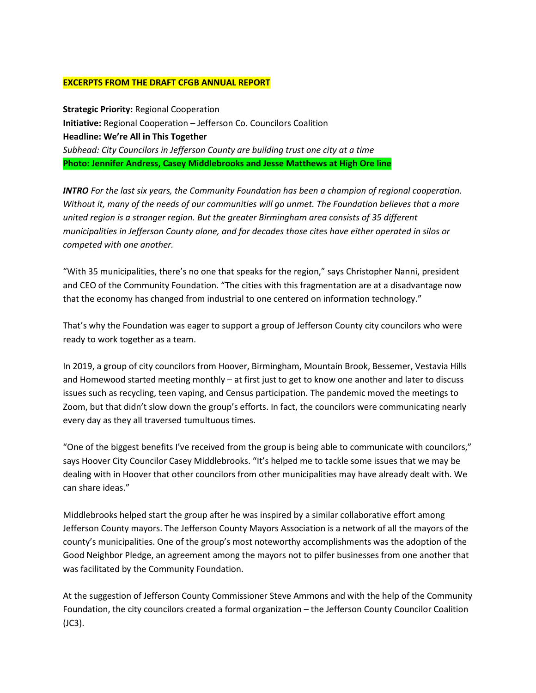## **EXCERPTS FROM THE DRAFT CFGB ANNUAL REPORT**

**Strategic Priority:** Regional Cooperation **Initiative:** Regional Cooperation – Jefferson Co. Councilors Coalition **Headline: We're All in This Together** *Subhead: City Councilors in Jefferson County are building trust one city at a time* **Photo: Jennifer Andress, Casey Middlebrooks and Jesse Matthews at High Ore line**

*INTRO For the last six years, the Community Foundation has been a champion of regional cooperation. Without it, many of the needs of our communities will go unmet. The Foundation believes that a more united region is a stronger region. But the greater Birmingham area consists of 35 different municipalities in Jefferson County alone, and for decades those cites have either operated in silos or competed with one another.*

"With 35 municipalities, there's no one that speaks for the region," says Christopher Nanni, president and CEO of the Community Foundation. "The cities with this fragmentation are at a disadvantage now that the economy has changed from industrial to one centered on information technology."

That's why the Foundation was eager to support a group of Jefferson County city councilors who were ready to work together as a team.

In 2019, a group of city councilors from Hoover, Birmingham, Mountain Brook, Bessemer, Vestavia Hills and Homewood started meeting monthly – at first just to get to know one another and later to discuss issues such as recycling, teen vaping, and Census participation. The pandemic moved the meetings to Zoom, but that didn't slow down the group's efforts. In fact, the councilors were communicating nearly every day as they all traversed tumultuous times.

"One of the biggest benefits I've received from the group is being able to communicate with councilors," says Hoover City Councilor Casey Middlebrooks. "It's helped me to tackle some issues that we may be dealing with in Hoover that other councilors from other municipalities may have already dealt with. We can share ideas."

Middlebrooks helped start the group after he was inspired by a similar collaborative effort among Jefferson County mayors. The Jefferson County Mayors Association is a network of all the mayors of the county's municipalities. One of the group's most noteworthy accomplishments was the adoption of the Good Neighbor Pledge, an agreement among the mayors not to pilfer businesses from one another that was facilitated by the Community Foundation.

At the suggestion of Jefferson County Commissioner Steve Ammons and with the help of the Community Foundation, the city councilors created a formal organization – the Jefferson County Councilor Coalition (JC3).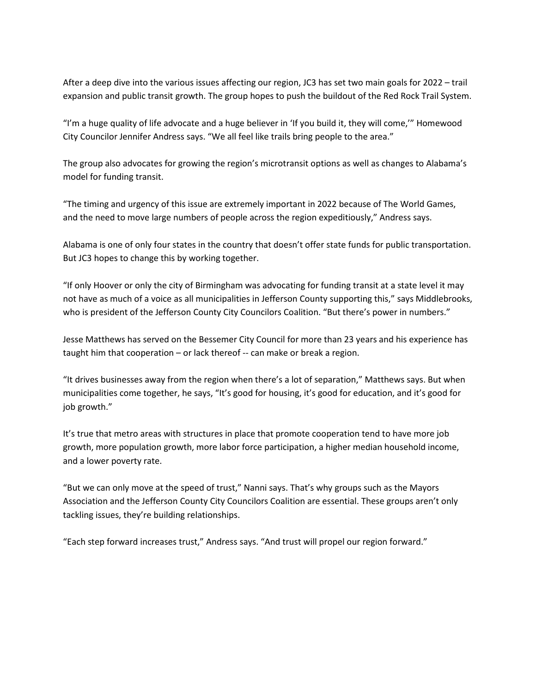After a deep dive into the various issues affecting our region, JC3 has set two main goals for 2022 – trail expansion and public transit growth. The group hopes to push the buildout of the Red Rock Trail System.

"I'm a huge quality of life advocate and a huge believer in 'If you build it, they will come,'" Homewood City Councilor Jennifer Andress says. "We all feel like trails bring people to the area."

The group also advocates for growing the region's microtransit options as well as changes to Alabama's model for funding transit.

"The timing and urgency of this issue are extremely important in 2022 because of The World Games, and the need to move large numbers of people across the region expeditiously," Andress says.

Alabama is one of only four states in the country that doesn't offer state funds for public transportation. But JC3 hopes to change this by working together.

"If only Hoover or only the city of Birmingham was advocating for funding transit at a state level it may not have as much of a voice as all municipalities in Jefferson County supporting this," says Middlebrooks, who is president of the Jefferson County City Councilors Coalition. "But there's power in numbers."

Jesse Matthews has served on the Bessemer City Council for more than 23 years and his experience has taught him that cooperation – or lack thereof -- can make or break a region.

"It drives businesses away from the region when there's a lot of separation," Matthews says. But when municipalities come together, he says, "It's good for housing, it's good for education, and it's good for job growth."

It's true that metro areas with structures in place that promote cooperation tend to have more job growth, more population growth, more labor force participation, a higher median household income, and a lower poverty rate.

"But we can only move at the speed of trust," Nanni says. That's why groups such as the Mayors Association and the Jefferson County City Councilors Coalition are essential. These groups aren't only tackling issues, they're building relationships.

"Each step forward increases trust," Andress says. "And trust will propel our region forward."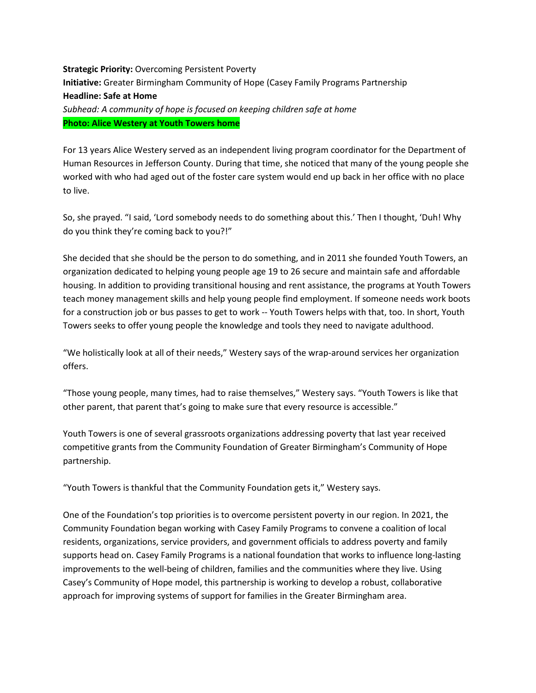**Strategic Priority: Overcoming Persistent Poverty Initiative:** Greater Birmingham Community of Hope (Casey Family Programs Partnership **Headline: Safe at Home** *Subhead: A community of hope is focused on keeping children safe at home* **Photo: Alice Westery at Youth Towers home**

For 13 years Alice Westery served as an independent living program coordinator for the Department of Human Resources in Jefferson County. During that time, she noticed that many of the young people she worked with who had aged out of the foster care system would end up back in her office with no place to live.

So, she prayed. "I said, 'Lord somebody needs to do something about this.' Then I thought, 'Duh! Why do you think they're coming back to you?!"

She decided that she should be the person to do something, and in 2011 she founded Youth Towers, an organization dedicated to helping young people age 19 to 26 secure and maintain safe and affordable housing. In addition to providing transitional housing and rent assistance, the programs at Youth Towers teach money management skills and help young people find employment. If someone needs work boots for a construction job or bus passes to get to work -- Youth Towers helps with that, too. In short, Youth Towers seeks to offer young people the knowledge and tools they need to navigate adulthood.

"We holistically look at all of their needs," Westery says of the wrap-around services her organization offers.

"Those young people, many times, had to raise themselves," Westery says. "Youth Towers is like that other parent, that parent that's going to make sure that every resource is accessible."

Youth Towers is one of several grassroots organizations addressing poverty that last year received competitive grants from the Community Foundation of Greater Birmingham's Community of Hope partnership.

"Youth Towers is thankful that the Community Foundation gets it," Westery says.

One of the Foundation's top priorities is to overcome persistent poverty in our region. In 2021, the Community Foundation began working with Casey Family Programs to convene a coalition of local residents, organizations, service providers, and government officials to address poverty and family supports head on. Casey Family Programs is a national foundation that works to influence long-lasting improvements to the well-being of children, families and the communities where they live. Using Casey's Community of Hope model, this partnership is working to develop a robust, collaborative approach for improving systems of support for families in the Greater Birmingham area.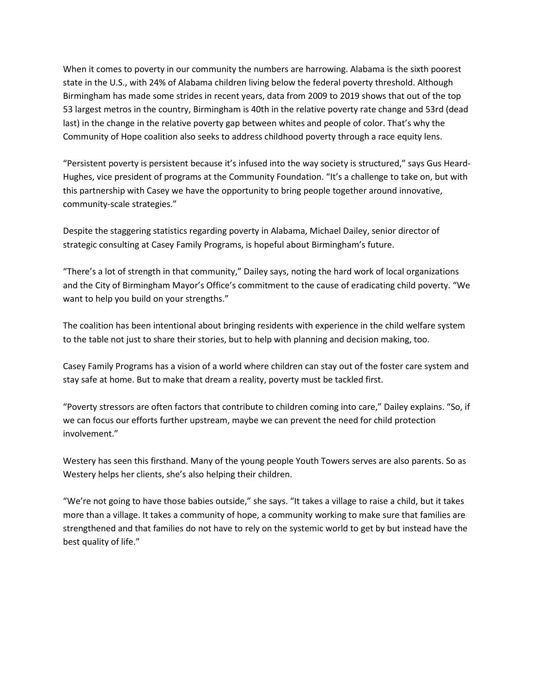When it comes to poverty in our community the numbers are harrowing. Alabama is the sixth poorest state in the U.S., with 24% of Alabama children living below the federal poverty threshold. Although Birmingham has made some strides in recent years, data from 2009 to 2019 shows that out of the top 53 largest metros in the country, Birmingham is 40th in the relative poverty rate change and 53rd (dead last) in the change in the relative poverty gap between whites and people of color. That's why the Community of Hope coalition also seeks to address childhood poverty through a race equity lens.

"Persistent poverty is persistent because it's infused into the way society is structured," says Gus Heard-Hughes, vice president of programs at the Community Foundation. "It's a challenge to take on, but with this partnership with Casey we have the opportunity to bring people together around innovative, community-scale strategies."

Despite the staggering statistics regarding poverty in Alabama, Michael Dailey, senior director of strategic consulting at Casey Family Programs, is hopeful about Birmingham's future.

"There's a lot of strength in that community," Dailey says, noting the hard work of local organizations and the City of Birmingham Mayor's Office's commitment to the cause of eradicating child poverty. "We want to help you build on your strengths."

The coalition has been intentional about bringing residents with experience in the child welfare system to the table not just to share their stories, but to help with planning and decision making, too.

Casey Family Programs has a vision of a world where children can stay out of the foster care system and stay safe at home. But to make that dream a reality, poverty must be tackled first.

"Poverty stressors are often factors that contribute to children coming into care," Dailey explains. "So, if we can focus our efforts further upstream, maybe we can prevent the need for child protection involvement."

Westery has seen this firsthand. Many of the young people Youth Towers serves are also parents. So as Westery helps her clients, she's also helping their children.

"We're not going to have those babies outside," she says. "It takes a village to raise a child, but it takes more than a village. It takes a community of hope, a community working to make sure that families are strengthened and that families do not have to rely on the systemic world to get by but instead have the best quality of life."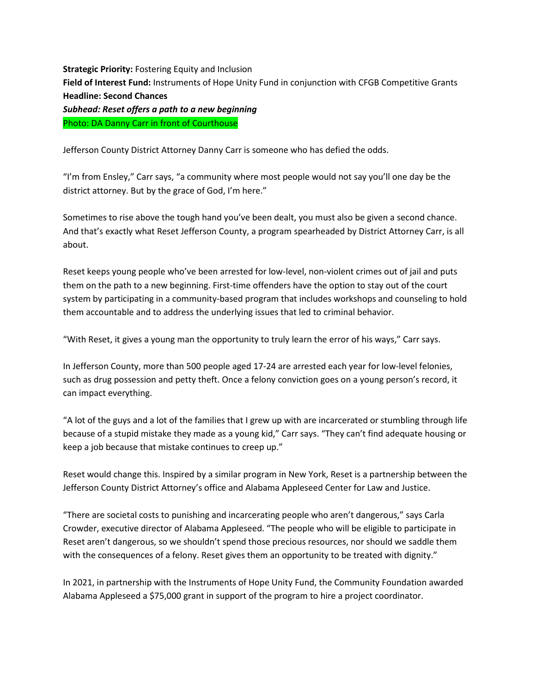**Strategic Priority: Fostering Equity and Inclusion Field of Interest Fund:** Instruments of Hope Unity Fund in conjunction with CFGB Competitive Grants **Headline: Second Chances** *Subhead: Reset offers a path to a new beginning* Photo: DA Danny Carr in front of Courthouse

Jefferson County District Attorney Danny Carr is someone who has defied the odds.

"I'm from Ensley," Carr says, "a community where most people would not say you'll one day be the district attorney. But by the grace of God, I'm here."

Sometimes to rise above the tough hand you've been dealt, you must also be given a second chance. And that's exactly what Reset Jefferson County, a program spearheaded by District Attorney Carr, is all about.

Reset keeps young people who've been arrested for low-level, non-violent crimes out of jail and puts them on the path to a new beginning. First-time offenders have the option to stay out of the court system by participating in a community-based program that includes workshops and counseling to hold them accountable and to address the underlying issues that led to criminal behavior.

"With Reset, it gives a young man the opportunity to truly learn the error of his ways," Carr says.

In Jefferson County, more than 500 people aged 17-24 are arrested each year for low-level felonies, such as drug possession and petty theft. Once a felony conviction goes on a young person's record, it can impact everything.

"A lot of the guys and a lot of the families that I grew up with are incarcerated or stumbling through life because of a stupid mistake they made as a young kid," Carr says. "They can't find adequate housing or keep a job because that mistake continues to creep up."

Reset would change this. Inspired by a similar program in New York, Reset is a partnership between the Jefferson County District Attorney's office and Alabama Appleseed Center for Law and Justice.

"There are societal costs to punishing and incarcerating people who aren't dangerous," says Carla Crowder, executive director of Alabama Appleseed. "The people who will be eligible to participate in Reset aren't dangerous, so we shouldn't spend those precious resources, nor should we saddle them with the consequences of a felony. Reset gives them an opportunity to be treated with dignity."

In 2021, in partnership with the Instruments of Hope Unity Fund, the Community Foundation awarded Alabama Appleseed a \$75,000 grant in support of the program to hire a project coordinator.